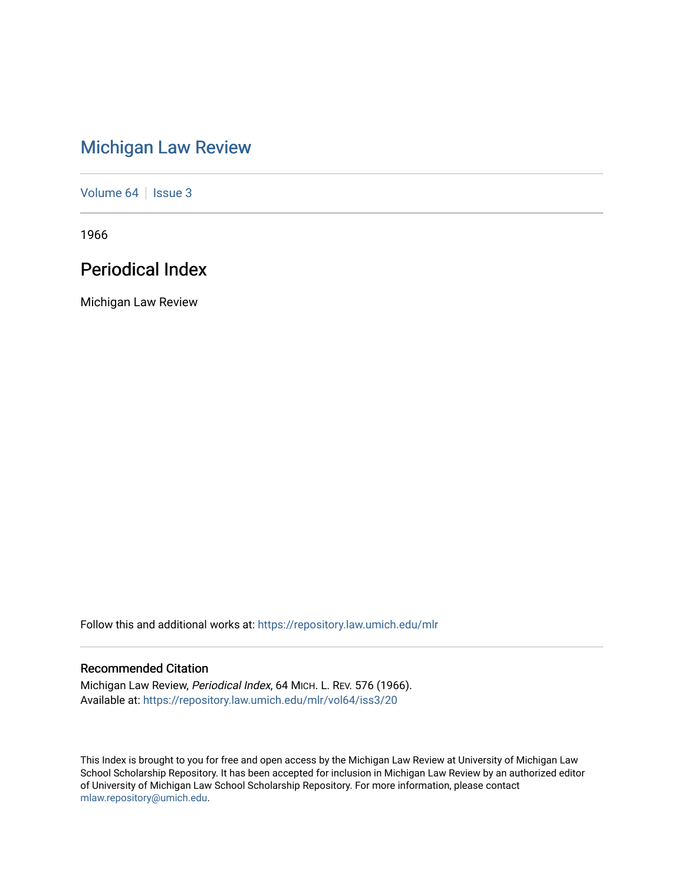# [Michigan Law Review](https://repository.law.umich.edu/mlr)

[Volume 64](https://repository.law.umich.edu/mlr/vol64) | [Issue 3](https://repository.law.umich.edu/mlr/vol64/iss3)

1966

## Periodical Index

Michigan Law Review

Follow this and additional works at: [https://repository.law.umich.edu/mlr](https://repository.law.umich.edu/mlr?utm_source=repository.law.umich.edu%2Fmlr%2Fvol64%2Fiss3%2F20&utm_medium=PDF&utm_campaign=PDFCoverPages) 

## Recommended Citation

Michigan Law Review, Periodical Index, 64 MICH. L. REV. 576 (1966). Available at: [https://repository.law.umich.edu/mlr/vol64/iss3/20](https://repository.law.umich.edu/mlr/vol64/iss3/20?utm_source=repository.law.umich.edu%2Fmlr%2Fvol64%2Fiss3%2F20&utm_medium=PDF&utm_campaign=PDFCoverPages) 

This Index is brought to you for free and open access by the Michigan Law Review at University of Michigan Law School Scholarship Repository. It has been accepted for inclusion in Michigan Law Review by an authorized editor of University of Michigan Law School Scholarship Repository. For more information, please contact [mlaw.repository@umich.edu.](mailto:mlaw.repository@umich.edu)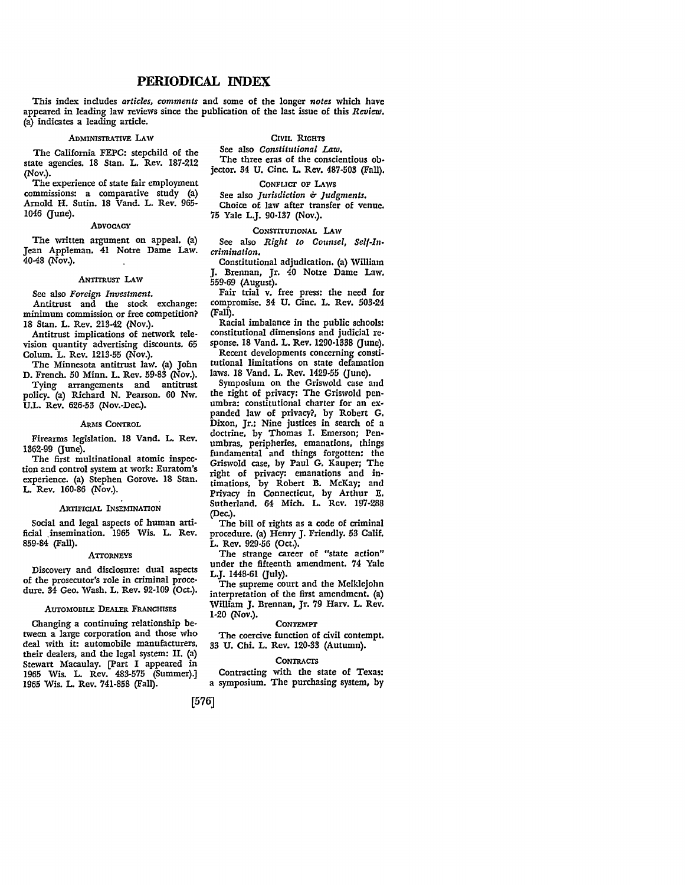### **PERIODICAL** INDEX

This index includes *articles, comments* and some of the longer *notes* which have appeared in leading law reviews since the publication of the last issue of this *Review.*  (a) indicates a leading article.

#### ADMINISTRATIVE LAW

CIVIL RIGHTS

The California FEPC: stepchild of the state agencies. 18 Stan. L. Rev. 187-212 (Nov.).

The experience of state fair employment commissions: a comparative study (a) Arnold H. Sutin. 18 Vand. L. Rev. 965- 1046 (June).

#### .ADVOCACY

The written argument on appeal. (a) Jean Appleman. 41 Notre Dame Law.  $40-48$  (Nov.).

#### ANTITRUsr LAW

See also *Foreign Investment.* 

Antitrust and the stock exchange: minimum commission or free competition? 18 Stan. L. Rev. 213-42 (Nov.).

Antitrust implications of network television quantity advertising discounts. 65 Colum. L. Rev. 1213-55 (Nov.).

The Minnesota antitrust law. (a) John D. French. 50 Minn. L. Rev. 59-83 (Nov.).

Tying arrangements and antitrust policy. (a) Richard N. Pearson. 60 Nw. U.L. Rev. 626-53 (Nov.-Dec.).

#### ARMS CONTROL

Firearms legislation. 18 Vand. L. Rev. 1362-99 (June).

The first multinational atomic inspection and control system at work: Euratom's experience. (a) Stephen Gorove. 18 Stan. L. Rev. 160-86 (Nov.).

#### .ARTIFICIAL INSEMINATION

Social and legal aspects of human artificial ,insemination. 1965 Wis. L. Rev. 859-84 (Fall).

#### **ATTORNEYS**

Discovery and disclosure: dual aspects of the prosecutor's role in criminal procedure. 34 Geo. Wash. L. Rev. 92-109 (Oct.).

#### AUTOMOBILE DEALER FRANCHISES

Changing a continuing relationship between a large corporation and those who deal with it: automobile manufacturers, their dealers, and the legal system: II. (a) Stewart Macaulay. (Part I appeared in 1965 Wis. L. Rev. 483-575 (Summer).] 1965 Wis. L. Rev. 741-858 (Fall).

See also *Constitutional* Law. The three eras of the conscientious objector. 34 U. Cine. L. Rev. 487-503 (Fall).

#### CoNFUcr OF LAws

See also *Jurisdiction* & *Judgments*.

Choice of law after transfer of venue. 75 Yale L.J. 90-137 (Nov.) •

#### CONsrITUTIONAL LAW

See also *Right to Counsel, Self-Incrimination.* 

Constitutional adjudication. (a) William J. Brennan, Jr. 40 Notre Dame Law. 559-69 (August).

Fair trial v. free press: the need for compromise. 34 U. Cine. L. Rev. 503-24 (Fall).

Racial imbalance in the public schools: constitutional dimensions and judicial re• sponse. 18 Vand. L. Rev. 1290-1338 (June). Recent developments concerning constitutional limitations on state defamation

laws. 18 Vand. L. Rev. 1429-55 (June).

Symposium on the Griswold case and the right of privacy: The Griswold penumbra: constitutional charter for an expanded law of privacy?, by Robert G. Dixon, Jr.; Nine justices in search of a doctrine, by Thomas I. Emerson; Pen• umbras, peripheries, emanations, things fundamental and things forgotten: the Griswold case, by Paul G. Kauper; The right of privacy: emanations and intimations, by Robert B. McKay; and Privacy in Connecticut, by Arthur E. Sutherland. 64 Mich. L. Rev. 197-288 (Dec.).

The bill of rights as a code of criminal procedure. (a) Henry J. Friendly. 53 Calif. L. Rev. 929-56 (Oct.).

The strange career of "state action" under the fifteenth amendment. 74 Yale L.J. 1448-61 (July).

The supreme court and the Meiklejohn interpretation of the first amendment. (a) William J. Brennan, Jr. 79 Harv. L. Rev. 1-20 (Nov.). CONTEMPT

The coercive function of civil contempt. 33 U. Chi. L. Rev. 120-33 (Autumn).

#### **CONTRACTS**

Contracting with the state of Texas: a symposium. The purchasing system, by

[576]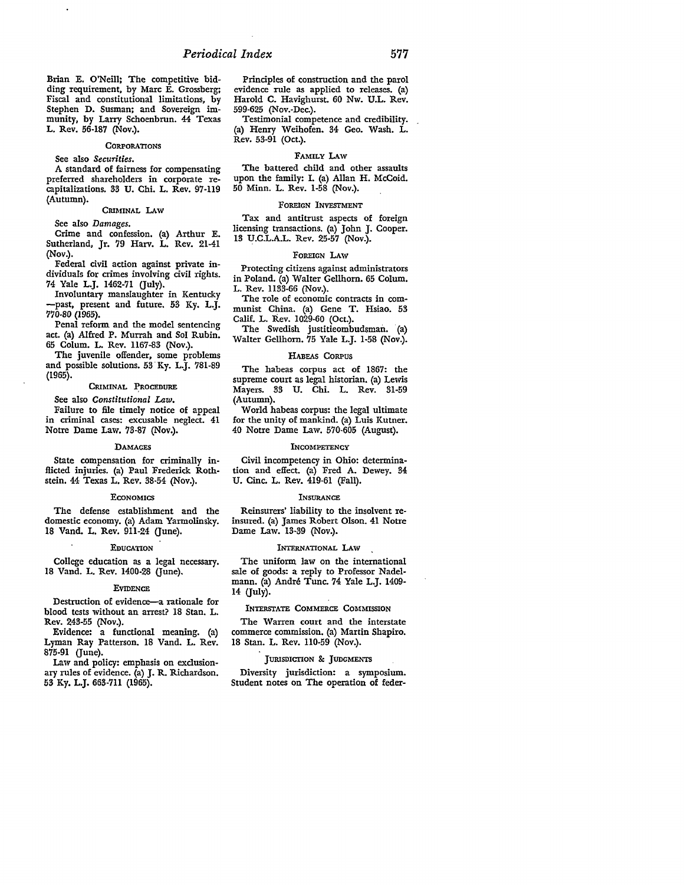Brian E. O'Neill: The competitive bidding requirement, by Marc E. Grossberg: Fiscal and constitutional limitations, by Stephen D. Susman; and Sovereign immunity, by Larry Schoenbrun. 44 Texas L. Rev. 56-187 (Nov.).

#### **CORPORATIONS**

#### See also *Securities.*

A standard of fairness for compensating preferred shareholders in corporate recapitalizations. 33 U. Chi. L. Rev. 97-119 (Autumn).

#### CRIMINAL LAW

See also *Damages.* 

Crime and confession. (a) Arthur E. Sutherland, Jr. 79 Harv. L. Rev. 21-41 (Nov.).

Federal civil action against private individuals for crimes involving civil rights. 74 Yale L.J. 1462-71 (July).

Involuntary manslaughter in Kentucky -past, present and future. 53 Ky. L.J. 770-80 (1965).

Penal reform and the model sentencing act. (a) Alfred P. Murrah and Sol Rubin. 65 Colum. L. Rev. 1167-83 (Nov.).

The juvenile offender, some problems and possible solutions. 53 Ky. L.J. 781-89 (1965).

#### CRIMINAL PROCEDURE

#### See also *Constitutional* Law.

Failure to file timely notice of appeal in criminal cases: excusable neglect. 41 Notre Dame Law. 73-87 (Nov.).

#### **DAMAGES**

State compensation for criminally inflicted injuries. (a) Paul Frederick Rothstein. 44 Texas L. Rev. 38-54 (Nov.).

#### **ECONOMICS**

The defense establishment and the domestic economy. (a) Adam Yarmolinsky. 18 Vand. L. Rev. 911-24 (June).

#### **EDUCATION**

College education as a legal necessary. 18 Vand. L. Rev. 1400-28 (June).

#### **EVIDENCE**

Destruction of evidence-a rationale for blood tests without an arrest? 18 Stan. L. Rev. 243-55 (Nov.).

Evidence: a functional meaning. (a) Lyman Ray Patterson. 18 Vand. L. Rev. 875-91 (June).

Law and policy: emphasis on exclusionary rules of evidence. (a) J. R. Richardson. 53 Ky. L.J. 663-711 (1965).

Principles of construction and the parol evidence rule as applied to releases. (a) Harold C. Havighurst. 60 Nw. U.L. Rev. 599-625 (Nov.-Dec.).

Testimonial competence and credibility. (a) Henry Weihofen. 34 Geo. Wash. L. Rev. 53-91 (Oct.).

#### FAMILY LAw

The battered child and other assaults upon the family: I. (a) Allan H. McCoid. 50 Minn. L. Rev. 1-58 (Nov.).

#### FOREIGN INVESTMENT

Tax and antitrust aspects of foreign licensing transactions. (a) John J. Cooper. 13 U.C.L.A.L. Rev. 25-57 (Nov.).

#### FOREIGN LAW

Protecting citizens against administrators in Poland. (a) Walter Gellhorn. 65 Colum. L. Rev. 1133-66 (Nov.).

The role of economic contracts in communist China. (a) Gene T. Hsiao. 53 Calif. L. Rev. 1029-60 (Oct.).

The Swedish justitieombudsman. (a) Walter Gellhorn. 75 Yale L.J. 1-58 (Nov.).

#### HABEAS CORPUS

The habeas corpus act of 1867: the supreme court as legal historian. (a) Lewis Mayers. 33 U. Chi. L. Rev. 31-59 (Autumn).

World habeas corpus: the legal ultimate for the unity of mankind. (a) Luis Kutner. 40 Notre Dame Law. 570-605 (August).

#### **INCOMPETENCY**

Civil incompetency in Ohio: determination and effect. (a) Fred A. Dewey. 34 U. Cine. L. Rev. 419-61 (Fall).

#### **INSURANCE**

Reinsurers' liability to the insolvent reinsured. (a) James Robert Olson. 41 Notre Dame Law. 13-39 (Nov.).

#### INTERNATIONAL LAW

The uniform law on the international sale of goods: a reply to Professor Nadelmann. (a) Andre Tune. 74 Yale L.J. 1409- 14 (July).

#### INTERSTATE COMMERCE COMMISSION

The Warren court and the interstate commerce commission. (a) Martin Shapiro. 18 Stan. L. Rev. 110-59 (Nov.).

#### JURISDICTION & JUDGMENTS

Diversity jurisdiction: a symposium. Student notes on The operation of feder-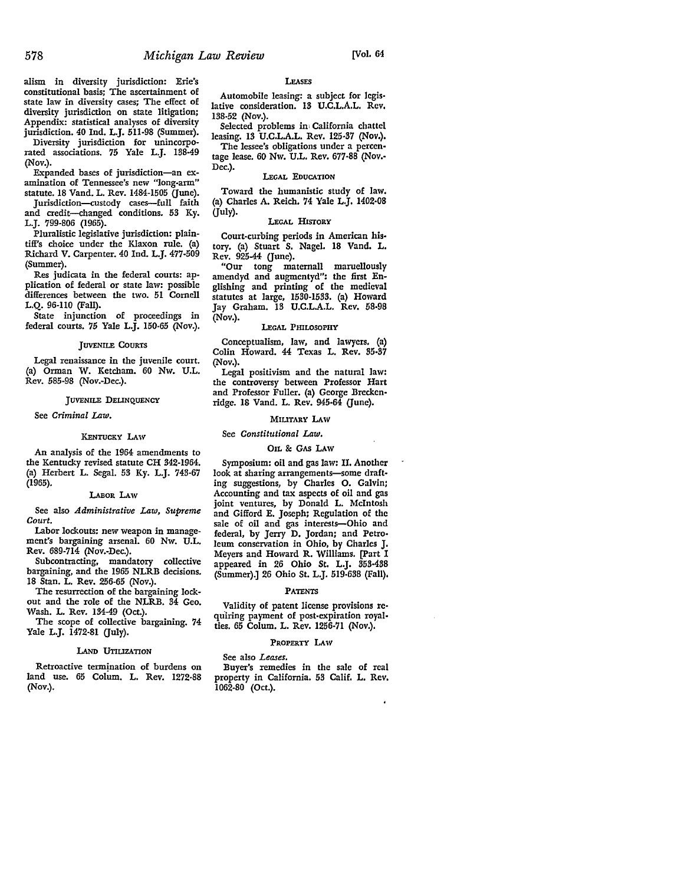alism in diversity jurisdiction: Erie's constitutional basis; The ascertainment of state law in diversity cases; The effect of diversity jurisdiction on state litigation; Appendix: statistical analyses of diversity jurisdiction. 40 Ind. L.J. 511-98 (Summer).

Diversity jurisdiction for unincorporated associations. 75 Yale L.J. 138-49 (Nov.).

Expanded bases of jurisdiction-an examination of Tennessee's new "long-arm" statute. 18 Vand. L. Rev. 1484-1505 (June).

Jurisdiction-custody cases-full faith and credit-changed conditions. 53 Ky. L.J. 799-806 (1965).

Pluralistic legislative jurisdiction: plaintiff's choice under the Klaxon rule. (a) Richard V. Carpenter. 40 Ind. L.J. 477-509 (Summer).

Res judicata in the federal courts: application of federal or state law: possible differences between the two. 51 Cornell **L.Q.** 96-110 (Fall).

State injunction of proceedings in federal courts. 75 Yale L.J. 150-65 (Nov.).

#### JUVENILE COURTS

Legal renaissance in the juvenile court. (a) Orman W. Ketcham. 60 Nw. U.L. Rev. 585-98 (Nov.-Dec.).

#### **JUVENILE DELINQUENCY**

See *Criminal Law.* 

#### KENTUCKY LAW

An analysis of the 1964 amendments to the Kentucky revised statute CH 342-1964. (a) Herbert L. Segal. 53 Ky. L.J. 743-67 (1965).

#### I.ABOR LAw

See also *Administrative Law, Supreme Court.* 

Labor lockouts: new weapon in management's bargaining arsenal. 60 Nw. U.L. Rev. 689-714 (Nov.-Dec.).

Subcontracting, mandatory collective bargaining, and the 1965 NLRB decisions. 18 Stan. L. Rev. 256-65 (Nov.).

The resurrection of the bargaining lockout and the role of the NLRB. 34 Geo. Wash. L. Rev. 134-49 (Oct.).

The scope of collective bargaining. 74 Yale L.J. 1472-81 (July).

#### LAND UTIUZATION

Retroactive termination of burdens on land use. 65 Colum. L. Rev. 1272-88 (Nov.).

#### LEASES

Automobile leasing: a subject for Jegis• lative consideration. 13 U.C.L.A.L. Rev, 138-52 (Nov.).

Selected problems im California chattel leasing. 13 U.C.L.A.L. Rev. 125-37 (Nov.). The lessee's obligations under a percen-

tage lease. 60 Nw. U.L. Rev. 677-88 (Nov.- Dec.). LEGAL EDUCATION

Toward the humanistic study of law. (a) Charles A. Reich. 74 Yale L.J. 1402-08 (July).

#### LEGAL HISTORY

Court-curbing periods in American history. (a) Stuart S. Nagel. 18 Vand. L. Rev. 925-44 (June).

"Our tong maternall maruellously amendyd and augmentyd": the first Englishing and printing of the medieval statutes at large, 1530-1533. (a) Howard Jay Graham. 13 U.C.L.A.L, Rev, 58-98 (Nov.).

#### LEGAL PHILOSOPHY

Conceptualism, law, and lawyers. (a) Colin Howard. 44 Texas L. Rev. 35-87 (Nov.).

Legal positivism and the natural law: the controversy between Professor Hart and Professor Fuller. (a) George Breckenridge. IS Vand. L. Rev. 945-64 (June).

#### MIUTARY LAW

#### See *Constitutional Law.*

#### OIL & GAS LAW

Symposium: oil and gas law: II. Another look at sharing arrangements-some drafting suggestions, by Charles O. Galvin; Accounting and tax aspects of oil and gas joint ventures, by Donald **L.** McIntosh and Gifford E. Joseph; Regulation of the sale of oil and gas interests-Ohio and federal, by Jerry D. Jordan; and Petro• leum conservation in Ohio, by Charles J. Meyers and Howard R. Williams, [Part I appeared in 26 Ohio St. L.J. 353-438 (Summer).] 26 Ohio St. L.J. 519-638 (Fall),

#### PATENTS

Validity of patent license provisions re• quiring payment of post-expiration royalties. 65 Colum. L. Rev. 1256-71 (Nov.).

#### PROPERTY LAW

#### See also *Leases.*

Buyer's remedies in the sale of real property in California. 53 Calif. L. Rev. 1062-80 (Oct.).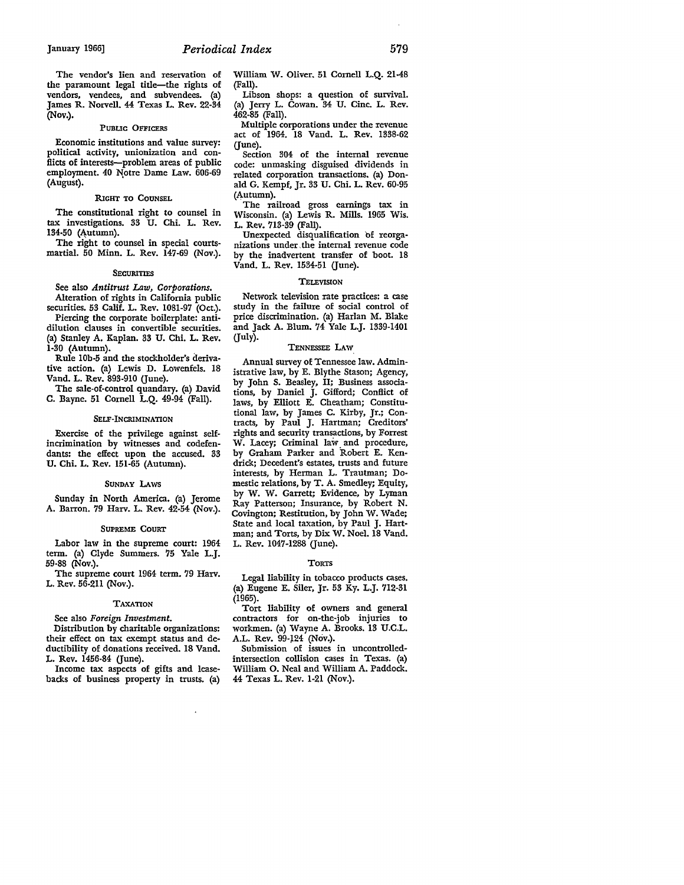The vendor's lien and reservation of the paramount legal title-the rights of vendors, vendees, and subvendees. (a) James R. Norvell. 44 Texas L. Rev. 22-34 (Nov.).

#### PUBLIC OFFICERS

Economic institutions and value survey: political activity, unionization and conflicts of interests-problem areas of public employment. 40 Notre Dame Law. 606-69 (August).

#### RIGHT TO COUNSEL

The constitutional right to counsel in tax investigations. 33 U. Chi. L. Rev. 134-50 (Autumn).

The right to counsel in special courtsmartial. 50 Minn. L. Rev. 147-69 (Nov.).

#### **SECURITIES**

See also *Antitrust* Law, *Corporations.* 

Alteration of rights in California public securities. 53 Calif. L. Rev. 1081-97 (Oct.). Piercing the corporate boilerplate: anti-

dilution clauses in convertible securities. (a) Stanley A. Kaplan. 33 U. Chi. L. Rev. 1-30 (Autumn).

Rule l0b-5 and the stockholder's derivative action. (a) Lewis D. Lowenfels. 18 Vand. L. Rev. 893-910 (June).

The sale-of-control quandary. (a) David C. Bayne. 51 Cornell L.Q. 49-94 (Fall).

#### SELF-INCRIMINATION

Exercise of the privilege against selfincrimination by witnesses and codefendants: the effect upon the accused. 33 U. Chi. L. Rev. 151-65 (Autumn).

#### SUNDAY LAws

Sunday in North America. (a) Jerome A. Barron. 79 Harv. L. Rev. 42-54 (Nov.).

#### SUPREME COURT

Labor law in the supreme court: 1964 term. (a) Clyde Summers. 75 Yale L.J. 59-88 (Nov.).

The supreme court 1964 term. 79 Harv. L. Rev. 56-211 (Nov.).

#### TAXATION

See also *Foreign Investment.* 

Distribution by charitable organizations: their effect on tax exempt status and deductibility of donations received. 18 Vand. L. Rev. 1456-84 (June).

Income tax aspects of gifts and leasebacks of business property in trusts. (a) William W. Oliver. 51 Cornell L.Q. 21-48 (Fall).

Libson shops: a question of survival. (a) Jerry L. Cowan. 34 U. Cine. L. Rev. 462-85 (Fall).

Multiple corporations under the revenue act of 1964. 18 Vand. L. Rev. 1338-62 (June).

Section 304 of the internal revenue code: unmasking disguised dividends in related corporation transactions. (a) Donald G. Kempf, Jr. 33 U. Chi. L. Rev. 60-95 (Autumn).

The railroad gross earnings tax in Wisconsin. (a) Lewis R. Mills. 1965 Wis. L. Rev. 713-39 (Fall).

Unexpected disqualification 'of reorganizations under, the internal revenue code by the inadvertent transfer of boot. 18 Vand. L. Rev. 1534-51 (June).

#### **TELEVISION**

Network television rate practices: a case study in the failure of social control of price discrimination. (a) Harlan M. Blake and Jack A. Blum. 74 Yale L.J. 1339-1401 (July).

#### TENNESSEE LAW

Annual survey of Tennessee law. Administrative law, by E. Blythe Stason; Agency, by John S. Beasley, II; Business associations, by Daniel J. Gifford; Conflict of laws, by Elliott E. Cheatham; Constitutional law, by James C. Kirby, Jr.; Con-tracts, by Paul J. Hartman; Creditors' rights and security transactions, by Forrest w. Lacey; Criminal law. and procedure, by Graham Parker and Robert E. Kendrick; Decedent's estates, trusts and future interests, by Herman L. Trautman; Domestic relations, by T. A. Smedley; Equity, by W. W. Garrett; Evidence, by Lyman Ray Patterson; Insurance, by Robert N. Covington; Restitution, by John W. Wade; State and local taxation, by Paul J. Hartman; and Torts, by Dix W. Noel. 18 Vand. L. Rev. 1047-1288 (June).

#### TORTS

Legal liability in tobacco products cases. (a) Eugene E. Siler, Jr. 53 Ky. L.J. 712-31 (1965).

Tort liability of owners and general contractors for on-the-job injuries to workmen. (a) Wayne A. Brooks. 13 U.C.L. A.L. Rev. 99-124 (Nov.).

Submission of issues in uncontrolledintersection collision cases in Texas. (a) William 0. Neal and William A. Paddock. 44 Texas L. Rev. 1-21 (Nov.).